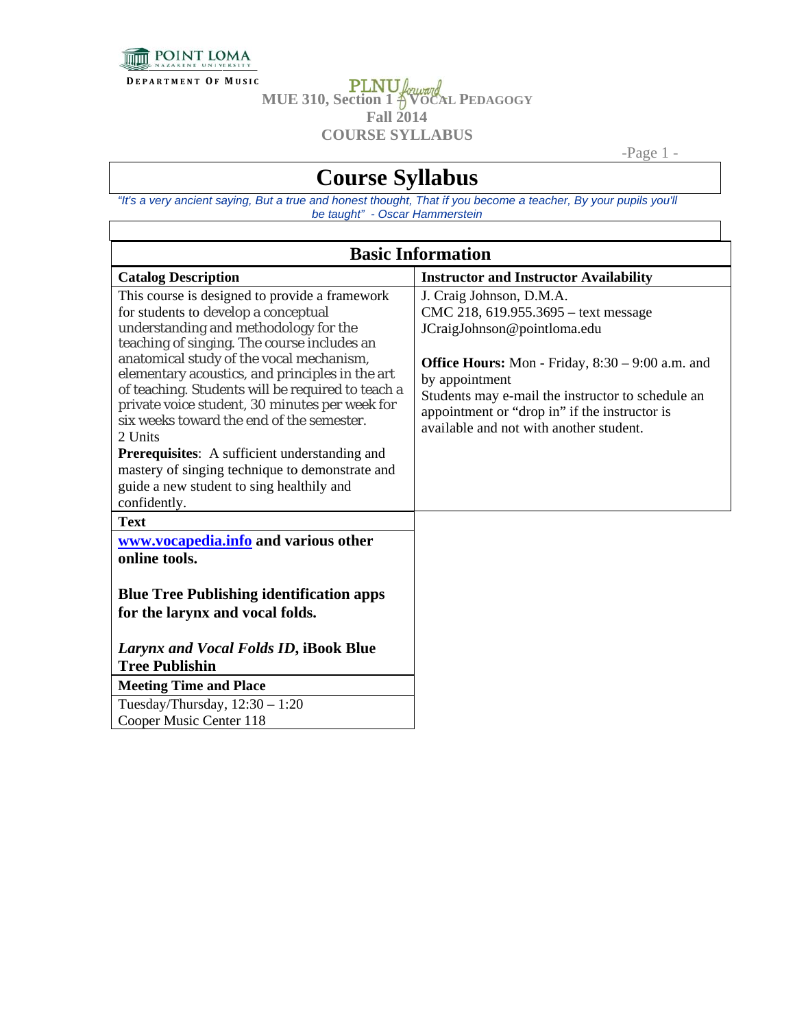

**DEPARTMENT OF MUSIC** 

**PLNU** *forward*<br>MUE 310, Section 1 <sup>2</sup> VOCAL PEDAGOGY **Fall 2014 COURSE SYLLABUS** 

-Page  $1$  -

## **Course Syllabus**

"It's a very ancient saying, But a true and honest thought, That if you become a teacher, By your pupils you'll be taught" - Oscar Hammerstein

| <b>Basic Information</b>                                                                                                                                                                                                                                                                                                                                                                                                                                                                                                                                |                                                                                                                                                                                                                                                                                                                                 |  |
|---------------------------------------------------------------------------------------------------------------------------------------------------------------------------------------------------------------------------------------------------------------------------------------------------------------------------------------------------------------------------------------------------------------------------------------------------------------------------------------------------------------------------------------------------------|---------------------------------------------------------------------------------------------------------------------------------------------------------------------------------------------------------------------------------------------------------------------------------------------------------------------------------|--|
| <b>Catalog Description</b>                                                                                                                                                                                                                                                                                                                                                                                                                                                                                                                              | <b>Instructor and Instructor Availability</b>                                                                                                                                                                                                                                                                                   |  |
| This course is designed to provide a framework<br>for students to develop a conceptual<br>understanding and methodology for the<br>teaching of singing. The course includes an<br>anatomical study of the vocal mechanism,<br>elementary acoustics, and principles in the art<br>of teaching. Students will be required to teach a<br>private voice student, 30 minutes per week for<br>six weeks toward the end of the semester.<br>2 Units<br><b>Prerequisites:</b> A sufficient understanding and<br>mastery of singing technique to demonstrate and | J. Craig Johnson, D.M.A.<br>CMC 218, 619.955.3695 – text message<br>JCraigJohnson@pointloma.edu<br><b>Office Hours:</b> Mon - Friday, $8:30 - 9:00$ a.m. and<br>by appointment<br>Students may e-mail the instructor to schedule an<br>appointment or "drop in" if the instructor is<br>available and not with another student. |  |
| guide a new student to sing healthily and<br>confidently.                                                                                                                                                                                                                                                                                                                                                                                                                                                                                               |                                                                                                                                                                                                                                                                                                                                 |  |
| <b>Text</b>                                                                                                                                                                                                                                                                                                                                                                                                                                                                                                                                             |                                                                                                                                                                                                                                                                                                                                 |  |
| www.vocapedia.info and various other<br>online tools.                                                                                                                                                                                                                                                                                                                                                                                                                                                                                                   |                                                                                                                                                                                                                                                                                                                                 |  |
| <b>Blue Tree Publishing identification apps</b><br>for the larynx and vocal folds.                                                                                                                                                                                                                                                                                                                                                                                                                                                                      |                                                                                                                                                                                                                                                                                                                                 |  |
| Larynx and Vocal Folds ID, iBook Blue                                                                                                                                                                                                                                                                                                                                                                                                                                                                                                                   |                                                                                                                                                                                                                                                                                                                                 |  |
| <b>Tree Publishin</b>                                                                                                                                                                                                                                                                                                                                                                                                                                                                                                                                   |                                                                                                                                                                                                                                                                                                                                 |  |
| <b>Meeting Time and Place</b>                                                                                                                                                                                                                                                                                                                                                                                                                                                                                                                           |                                                                                                                                                                                                                                                                                                                                 |  |
| Tuesday/Thursday, $12:30 - 1:20$<br>Cooper Music Center 118                                                                                                                                                                                                                                                                                                                                                                                                                                                                                             |                                                                                                                                                                                                                                                                                                                                 |  |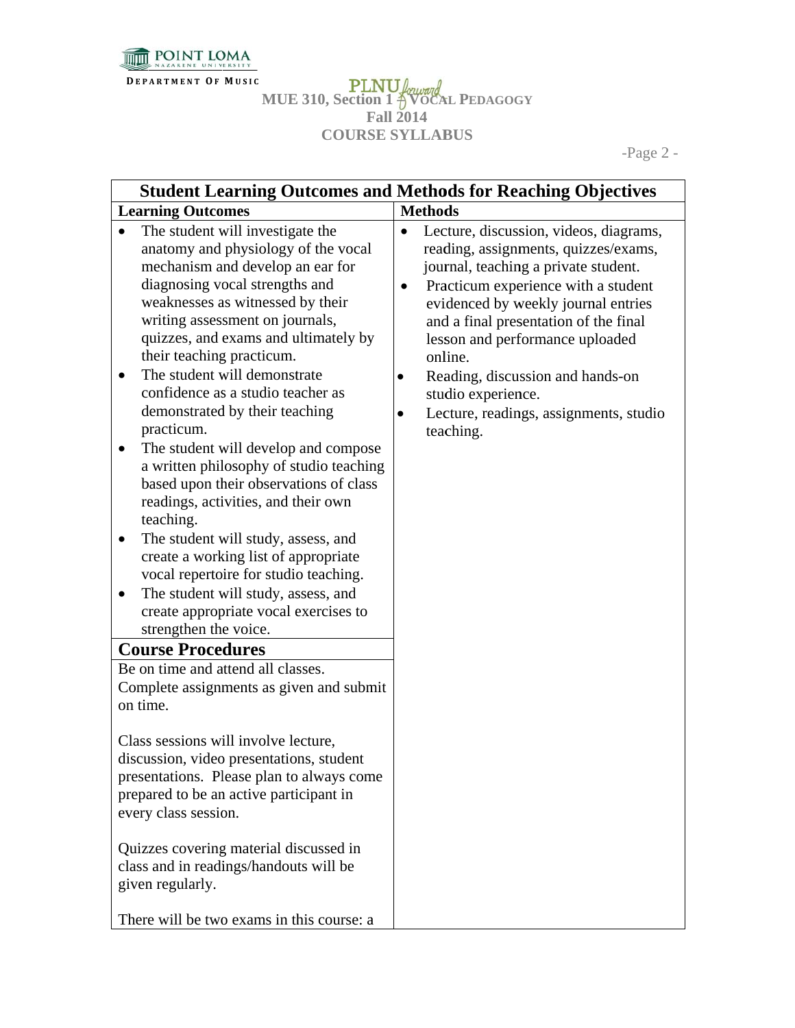

**<sup>D</sup> <sup>E</sup> <sup>P</sup> <sup>A</sup> <sup>R</sup> <sup>T</sup> <sup>M</sup> <sup>E</sup> <sup>N</sup> <sup>T</sup> <sup>O</sup> <sup>F</sup> M U S I C**

**MUE E 310, Sectio F COURSE SYLLABUS on 1 – VOCA Fall 2014 AL PEDAGOG GY**

-Page 2 2 -

|                                                                                                                                                                                                                                                                                                                                                                                                                                                                                                                                                                                                                                                                                                                                                                                                                                                                                | <b>Student Learning Outcomes and Methods for Reaching Objectives</b>                                                                                                                                                                                                                                                                                                                                                                        |
|--------------------------------------------------------------------------------------------------------------------------------------------------------------------------------------------------------------------------------------------------------------------------------------------------------------------------------------------------------------------------------------------------------------------------------------------------------------------------------------------------------------------------------------------------------------------------------------------------------------------------------------------------------------------------------------------------------------------------------------------------------------------------------------------------------------------------------------------------------------------------------|---------------------------------------------------------------------------------------------------------------------------------------------------------------------------------------------------------------------------------------------------------------------------------------------------------------------------------------------------------------------------------------------------------------------------------------------|
| <b>Learning Outcomes</b>                                                                                                                                                                                                                                                                                                                                                                                                                                                                                                                                                                                                                                                                                                                                                                                                                                                       | <b>Methods</b>                                                                                                                                                                                                                                                                                                                                                                                                                              |
| The student will investigate the<br>$\bullet$<br>anatomy and physiology of the vocal<br>mechanism and develop an ear for<br>diagnosing vocal strengths and<br>weaknesses as witnessed by their<br>writing assessment on journals,<br>quizzes, and exams and ultimately by<br>their teaching practicum.<br>The student will demonstrate<br>confidence as a studio teacher as<br>demonstrated by their teaching<br>practicum.<br>The student will develop and compose<br>٠<br>a written philosophy of studio teaching<br>based upon their observations of class<br>readings, activities, and their own<br>teaching.<br>The student will study, assess, and<br>create a working list of appropriate<br>vocal repertoire for studio teaching.<br>The student will study, assess, and<br>create appropriate vocal exercises to<br>strengthen the voice.<br><b>Course Procedures</b> | Lecture, discussion, videos, diagrams,<br>$\bullet$<br>reading, assignments, quizzes/exams,<br>journal, teaching a private student.<br>Practicum experience with a student<br>$\bullet$<br>evidenced by weekly journal entries<br>and a final presentation of the final<br>lesson and performance uploaded<br>online.<br>Reading, discussion and hands-on<br>٠<br>studio experience.<br>Lecture, readings, assignments, studio<br>teaching. |
| Be on time and attend all classes.<br>Complete assignments as given and submit<br>on time.                                                                                                                                                                                                                                                                                                                                                                                                                                                                                                                                                                                                                                                                                                                                                                                     |                                                                                                                                                                                                                                                                                                                                                                                                                                             |
| Class sessions will involve lecture,<br>discussion, video presentations, student<br>presentations. Please plan to always come<br>prepared to be an active participant in<br>every class session.                                                                                                                                                                                                                                                                                                                                                                                                                                                                                                                                                                                                                                                                               |                                                                                                                                                                                                                                                                                                                                                                                                                                             |
| Quizzes covering material discussed in<br>class and in readings/handouts will be<br>given regularly.                                                                                                                                                                                                                                                                                                                                                                                                                                                                                                                                                                                                                                                                                                                                                                           |                                                                                                                                                                                                                                                                                                                                                                                                                                             |
| There will be two exams in this course: a                                                                                                                                                                                                                                                                                                                                                                                                                                                                                                                                                                                                                                                                                                                                                                                                                                      |                                                                                                                                                                                                                                                                                                                                                                                                                                             |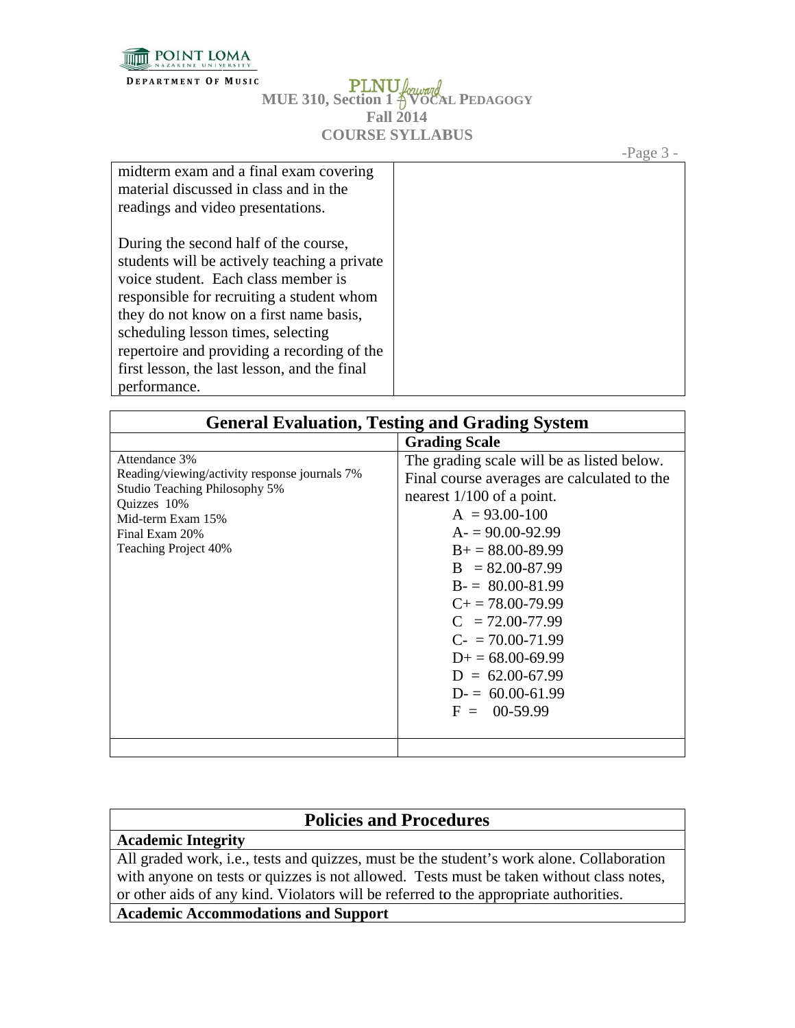

**DEPARTMENT OF MUSIC** 

## **PLNU** forward<br>MUE 310, Section 1 <sup>2</sup> VOCAL PEDAGOGY **Fall 2014 COURSE SYLLABUS**

-Page  $3 -$ 

| midterm exam and a final exam covering       |  |
|----------------------------------------------|--|
| material discussed in class and in the       |  |
| readings and video presentations.            |  |
|                                              |  |
| During the second half of the course,        |  |
| students will be actively teaching a private |  |
| voice student. Each class member is          |  |
| responsible for recruiting a student whom    |  |
| they do not know on a first name basis,      |  |
| scheduling lesson times, selecting           |  |
| repertoire and providing a recording of the  |  |
| first lesson, the last lesson, and the final |  |
| performance.                                 |  |

| <b>General Evaluation, Testing and Grading System</b>                                                                                                                         |                                                                                                                                                                                                                                                                                                                                                                                                                   |  |
|-------------------------------------------------------------------------------------------------------------------------------------------------------------------------------|-------------------------------------------------------------------------------------------------------------------------------------------------------------------------------------------------------------------------------------------------------------------------------------------------------------------------------------------------------------------------------------------------------------------|--|
|                                                                                                                                                                               | <b>Grading Scale</b>                                                                                                                                                                                                                                                                                                                                                                                              |  |
| Attendance 3%<br>Reading/viewing/activity response journals 7%<br>Studio Teaching Philosophy 5%<br>Quizzes 10%<br>Mid-term Exam 15%<br>Final Exam 20%<br>Teaching Project 40% | The grading scale will be as listed below.<br>Final course averages are calculated to the<br>nearest $1/100$ of a point.<br>$A = 93.00 - 100$<br>$A = 90.00 - 92.99$<br>$B_+ = 88.00 - 89.99$<br>$B = 82.00 - 87.99$<br>$B = 80.00 - 81.99$<br>$C_{\pm} = 78.00 - 79.99$<br>$C = 72.00 - 77.99$<br>$C = 70.00 - 71.99$<br>$D_{+} = 68.00 - 69.99$<br>$D = 62.00 - 67.99$<br>$D = 60.00 - 61.99$<br>$F = 00-59.99$ |  |
|                                                                                                                                                                               |                                                                                                                                                                                                                                                                                                                                                                                                                   |  |

## **Policies and Procedures**

**Academic Integrity** 

All graded work, i.e., tests and quizzes, must be the student's work alone. Collaboration with anyone on tests or quizzes is not allowed. Tests must be taken without class notes, or other aids of any kind. Violators will be referred to the appropriate authorities.

**Academic Accommodations and Support**